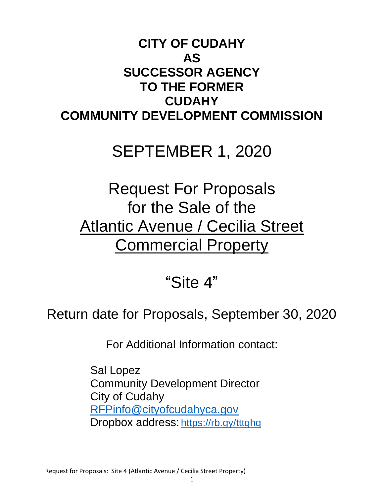# **CITY OF CUDAHY AS SUCCESSOR AGENCY TO THE FORMER CUDAHY COMMUNITY DEVELOPMENT COMMISSION**

# SEPTEMBER 1, 2020

# Request For Proposals for the Sale of the Atlantic Avenue / Cecilia Street **Commercial Property**

# "Site 4"

# Return date for Proposals, September 30, 2020

For Additional Information contact:

Sal Lopez Community Development Director City of Cudahy [RFPinfo@cityofcudahyca.gov](mailto:RFPinfo@cityofcudahyca.gov) Dropbox address: <https://rb.gy/tttghq>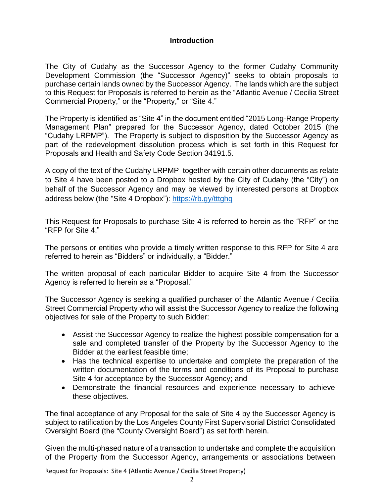### **Introduction**

The City of Cudahy as the Successor Agency to the former Cudahy Community Development Commission (the "Successor Agency)" seeks to obtain proposals to purchase certain lands owned by the Successor Agency. The lands which are the subject to this Request for Proposals is referred to herein as the "Atlantic Avenue / Cecilia Street Commercial Property," or the "Property," or "Site 4."

The Property is identified as "Site 4" in the document entitled "2015 Long-Range Property Management Plan" prepared for the Successor Agency, dated October 2015 (the "Cudahy LRPMP"). The Property is subject to disposition by the Successor Agency as part of the redevelopment dissolution process which is set forth in this Request for Proposals and Health and Safety Code Section 34191.5.

A copy of the text of the Cudahy LRPMP together with certain other documents as relate to Site 4 have been posted to a Dropbox hosted by the City of Cudahy (the "City") on behalf of the Successor Agency and may be viewed by interested persons at Dropbox address below (the "Site 4 Dropbox"):<https://rb.gy/tttghq>

This Request for Proposals to purchase Site 4 is referred to herein as the "RFP" or the "RFP for Site 4."

The persons or entities who provide a timely written response to this RFP for Site 4 are referred to herein as "Bidders" or individually, a "Bidder."

The written proposal of each particular Bidder to acquire Site 4 from the Successor Agency is referred to herein as a "Proposal."

The Successor Agency is seeking a qualified purchaser of the Atlantic Avenue / Cecilia Street Commercial Property who will assist the Successor Agency to realize the following objectives for sale of the Property to such Bidder:

- Assist the Successor Agency to realize the highest possible compensation for a sale and completed transfer of the Property by the Successor Agency to the Bidder at the earliest feasible time;
- Has the technical expertise to undertake and complete the preparation of the written documentation of the terms and conditions of its Proposal to purchase Site 4 for acceptance by the Successor Agency; and
- Demonstrate the financial resources and experience necessary to achieve these objectives.

The final acceptance of any Proposal for the sale of Site 4 by the Successor Agency is subject to ratification by the Los Angeles County First Supervisorial District Consolidated Oversight Board (the "County Oversight Board") as set forth herein.

Given the multi-phased nature of a transaction to undertake and complete the acquisition of the Property from the Successor Agency, arrangements or associations between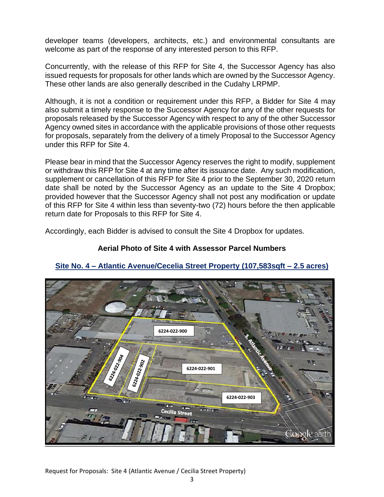developer teams (developers, architects, etc.) and environmental consultants are welcome as part of the response of any interested person to this RFP.

Concurrently, with the release of this RFP for Site 4, the Successor Agency has also issued requests for proposals for other lands which are owned by the Successor Agency. These other lands are also generally described in the Cudahy LRPMP.

Although, it is not a condition or requirement under this RFP, a Bidder for Site 4 may also submit a timely response to the Successor Agency for any of the other requests for proposals released by the Successor Agency with respect to any of the other Successor Agency owned sites in accordance with the applicable provisions of those other requests for proposals, separately from the delivery of a timely Proposal to the Successor Agency under this RFP for Site 4.

Please bear in mind that the Successor Agency reserves the right to modify, supplement or withdraw this RFP for Site 4 at any time after its issuance date. Any such modification, supplement or cancellation of this RFP for Site 4 prior to the September 30, 2020 return date shall be noted by the Successor Agency as an update to the Site 4 Dropbox; provided however that the Successor Agency shall not post any modification or update of this RFP for Site 4 within less than seventy-two (72) hours before the then applicable return date for Proposals to this RFP for Site 4.

Accordingly, each Bidder is advised to consult the Site 4 Dropbox for updates.

# **Aerial Photo of Site 4 with Assessor Parcel Numbers**



# **Site No. 4 – Atlantic Avenue/Cecelia Street Property (107,583sqft – 2.5 acres)**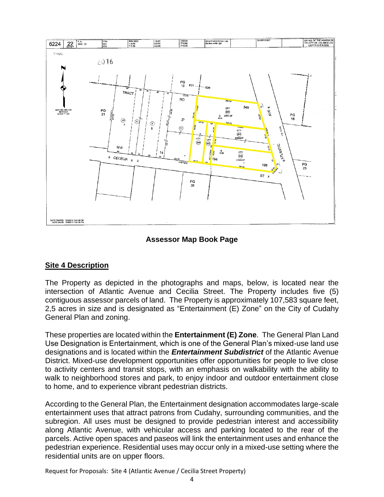

### **Assessor Map Book Page**

#### **Site 4 Description**

The Property as depicted in the photographs and maps, below, is located near the intersection of Atlantic Avenue and Cecilia Street. The Property includes five (5) contiguous assessor parcels of land. The Property is approximately 107,583 square feet, 2,5 acres in size and is designated as "Entertainment (E) Zone" on the City of Cudahy General Plan and zoning.

These properties are located within the **Entertainment (E) Zone**. The General Plan Land Use Designation is Entertainment, which is one of the General Plan's mixed-use land use designations and is located within the *Entertainment Subdistrict* of the Atlantic Avenue District. Mixed-use development opportunities offer opportunities for people to live close to activity centers and transit stops, with an emphasis on walkability with the ability to walk to neighborhood stores and park, to enjoy indoor and outdoor entertainment close to home, and to experience vibrant pedestrian districts.

According to the General Plan, the Entertainment designation accommodates large-scale entertainment uses that attract patrons from Cudahy, surrounding communities, and the subregion. All uses must be designed to provide pedestrian interest and accessibility along Atlantic Avenue, with vehicular access and parking located to the rear of the parcels. Active open spaces and paseos will link the entertainment uses and enhance the pedestrian experience. Residential uses may occur only in a mixed-use setting where the residential units are on upper floors.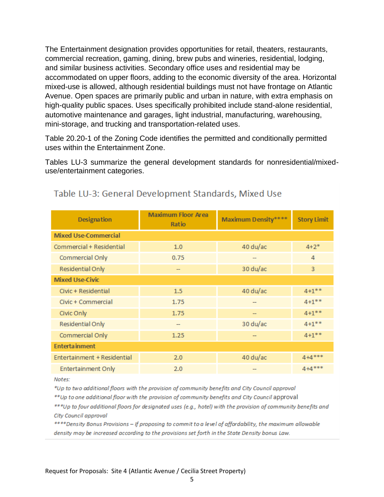The Entertainment designation provides opportunities for retail, theaters, restaurants, commercial recreation, gaming, dining, brew pubs and wineries, residential, lodging, and similar business activities. Secondary office uses and residential may be accommodated on upper floors, adding to the economic diversity of the area. Horizontal mixed-use is allowed, although residential buildings must not have frontage on Atlantic Avenue. Open spaces are primarily public and urban in nature, with extra emphasis on high-quality public spaces. Uses specifically prohibited include stand-alone residential, automotive maintenance and garages, light industrial, manufacturing, warehousing, mini-storage, and trucking and transportation-related uses.

Table 20.20-1 of the Zoning Code identifies the permitted and conditionally permitted uses within the Entertainment Zone.

Tables LU-3 summarize the general development standards for nonresidential/mixeduse/entertainment categories.

| <b>Designation</b>          | <b>Maximum Floor Area</b><br>Ratio | <b>Maximum Density</b> **** | <b>Story Limit</b> |  |  |  |
|-----------------------------|------------------------------------|-----------------------------|--------------------|--|--|--|
| <b>Mixed Use-Commercial</b> |                                    |                             |                    |  |  |  |
| Commercial + Residential    | 1.0                                | 40 du/ac                    | $4 + 2^*$          |  |  |  |
| Commercial Only             | 0.75                               |                             | 4                  |  |  |  |
| Residential Only            |                                    | 30 du/ac                    | 3                  |  |  |  |
| <b>Mixed Use-Civic</b>      |                                    |                             |                    |  |  |  |
| Civic + Residential         | 1.5                                | 40 du/ac                    | $4 + 1$ **         |  |  |  |
| Civic + Commercial          | 1.75                               |                             | $4 + 1$ **         |  |  |  |
| Civic Only                  | 1.75                               |                             | $4 + 1$ **         |  |  |  |
| Residential Only            |                                    | 30 du/ac                    | $4 + 1$ **         |  |  |  |
| Commercial Only             | 1.25                               |                             | $4 + 1$ **         |  |  |  |
| <b>Enterta inment</b>       |                                    |                             |                    |  |  |  |
| Entertainment + Residential | 2.0                                | 40 du/ac                    | $4 + 4$ ***        |  |  |  |
| <b>Entertainment Only</b>   | 2.0                                |                             | $4 + 4$ ***        |  |  |  |

# Table LU-3: General Development Standards, Mixed Use

Notes:

\*Up to two additional floors with the provision of community benefits and City Council approval

\*\* Up to one additional floor with the provision of community benefits and City Council approval

\*\*\*Up to four additional floors for designated uses (e.g., hotel) with the provision of community benefits and City Council approval

\*\*\*\*Density Bonus Provisions - If proposing to commit to a level of affordability, the maximum allowable density may be increased according to the provisions set forth in the State Density bonus Law.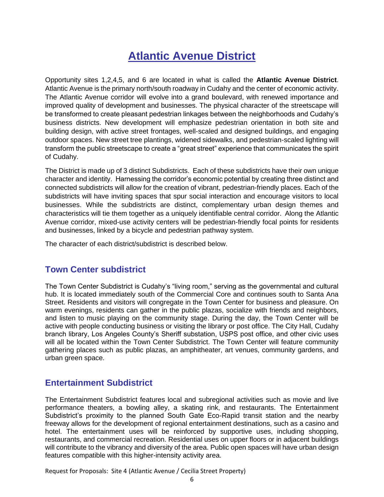# **Atlantic Avenue District**

Opportunity sites 1,2,4,5, and 6 are located in what is called the **Atlantic Avenue District**. Atlantic Avenue is the primary north/south roadway in Cudahy and the center of economic activity. The Atlantic Avenue corridor will evolve into a grand boulevard, with renewed importance and improved quality of development and businesses. The physical character of the streetscape will be transformed to create pleasant pedestrian linkages between the neighborhoods and Cudahy's business districts. New development will emphasize pedestrian orientation in both site and building design, with active street frontages, well-scaled and designed buildings, and engaging outdoor spaces. New street tree plantings, widened sidewalks, and pedestrian-scaled lighting will transform the public streetscape to create a "great street" experience that communicates the spirit of Cudahy.

The District is made up of 3 distinct Subdistricts. Each of these subdistricts have their own unique character and identity. Harnessing the corridor's economic potential by creating three distinct and connected subdistricts will allow for the creation of vibrant, pedestrian-friendly places. Each of the subdistricts will have inviting spaces that spur social interaction and encourage visitors to local businesses. While the subdistricts are distinct, complementary urban design themes and characteristics will tie them together as a uniquely identifiable central corridor. Along the Atlantic Avenue corridor, mixed-use activity centers will be pedestrian-friendly focal points for residents and businesses, linked by a bicycle and pedestrian pathway system.

The character of each district/subdistrict is described below.

# **Town Center subdistrict**

The Town Center Subdistrict is Cudahy's "living room," serving as the governmental and cultural hub. It is located immediately south of the Commercial Core and continues south to Santa Ana Street. Residents and visitors will congregate in the Town Center for business and pleasure. On warm evenings, residents can gather in the public plazas, socialize with friends and neighbors, and listen to music playing on the community stage. During the day, the Town Center will be active with people conducting business or visiting the library or post office. The City Hall, Cudahy branch library, Los Angeles County's Sheriff substation, USPS post office, and other civic uses will all be located within the Town Center Subdistrict. The Town Center will feature community gathering places such as public plazas, an amphitheater, art venues, community gardens, and urban green space.

# **Entertainment Subdistrict**

The Entertainment Subdistrict features local and subregional activities such as movie and live performance theaters, a bowling alley, a skating rink, and restaurants. The Entertainment Subdistrict's proximity to the planned South Gate Eco-Rapid transit station and the nearby freeway allows for the development of regional entertainment destinations, such as a casino and hotel. The entertainment uses will be reinforced by supportive uses, including shopping, restaurants, and commercial recreation. Residential uses on upper floors or in adjacent buildings will contribute to the vibrancy and diversity of the area. Public open spaces will have urban design features compatible with this higher-intensity activity area.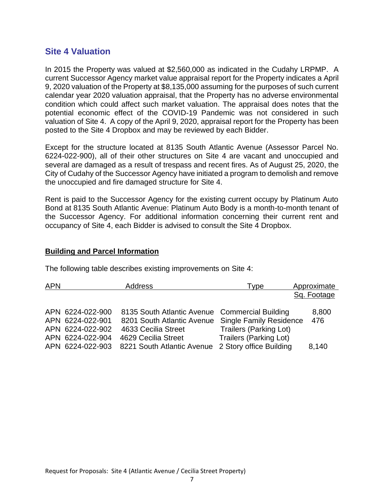# **Site 4 Valuation**

In 2015 the Property was valued at \$2,560,000 as indicated in the Cudahy LRPMP. A current Successor Agency market value appraisal report for the Property indicates a April 9, 2020 valuation of the Property at \$8,135,000 assuming for the purposes of such current calendar year 2020 valuation appraisal, that the Property has no adverse environmental condition which could affect such market valuation. The appraisal does notes that the potential economic effect of the COVID-19 Pandemic was not considered in such valuation of Site 4. A copy of the April 9, 2020, appraisal report for the Property has been posted to the Site 4 Dropbox and may be reviewed by each Bidder.

Except for the structure located at 8135 South Atlantic Avenue (Assessor Parcel No. 6224-022-900), all of their other structures on Site 4 are vacant and unoccupied and several are damaged as a result of trespass and recent fires. As of August 25, 2020, the City of Cudahy of the Successor Agency have initiated a program to demolish and remove the unoccupied and fire damaged structure for Site 4.

Rent is paid to the Successor Agency for the existing current occupy by Platinum Auto Bond at 8135 South Atlantic Avenue: Platinum Auto Body is a month-to-month tenant of the Successor Agency. For additional information concerning their current rent and occupancy of Site 4, each Bidder is advised to consult the Site 4 Dropbox.

#### **Building and Parcel Information**

The following table describes existing improvements on Site 4:

| <b>APN</b> |                                                                              | <b>Address</b>                                                                                                             | Type                                                                                             | Approximate  |
|------------|------------------------------------------------------------------------------|----------------------------------------------------------------------------------------------------------------------------|--------------------------------------------------------------------------------------------------|--------------|
|            |                                                                              |                                                                                                                            |                                                                                                  | Sq. Footage  |
|            | APN 6224-022-900<br>APN 6224-022-901<br>APN 6224-022-902<br>APN 6224-022-904 | 8135 South Atlantic Avenue Commercial Building<br>8201 South Atlantic Avenue<br>4633 Cecilia Street<br>4629 Cecilia Street | <b>Single Family Residence</b><br><b>Trailers (Parking Lot)</b><br><b>Trailers (Parking Lot)</b> | 8,800<br>476 |
|            | APN 6224-022-903                                                             | 8221 South Atlantic Avenue                                                                                                 | 2 Story office Building                                                                          | 8,140        |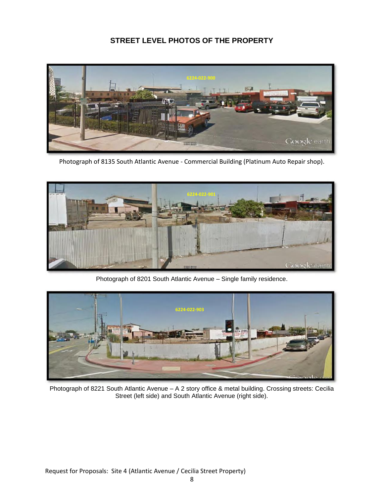# **STREET LEVEL PHOTOS OF THE PROPERTY**



Photograph of 8135 South Atlantic Avenue - Commercial Building (Platinum Auto Repair shop).



Photograph of 8201 South Atlantic Avenue – Single family residence.



Photograph of 8221 South Atlantic Avenue – A 2 story office & metal building. Crossing streets: Cecilia Street (left side) and South Atlantic Avenue (right side).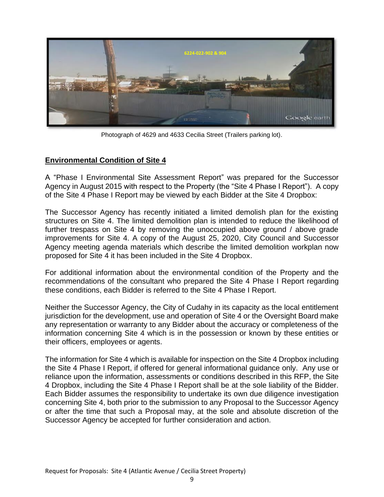

Photograph of 4629 and 4633 Cecilia Street (Trailers parking lot).

### **Environmental Condition of Site 4**

A "Phase I Environmental Site Assessment Report" was prepared for the Successor Agency in August 2015 with respect to the Property (the "Site 4 Phase I Report"). A copy of the Site 4 Phase I Report may be viewed by each Bidder at the Site 4 Dropbox:

The Successor Agency has recently initiated a limited demolish plan for the existing structures on Site 4. The limited demolition plan is intended to reduce the likelihood of further trespass on Site 4 by removing the unoccupied above ground / above grade improvements for Site 4. A copy of the August 25, 2020, City Council and Successor Agency meeting agenda materials which describe the limited demolition workplan now proposed for Site 4 it has been included in the Site 4 Dropbox.

For additional information about the environmental condition of the Property and the recommendations of the consultant who prepared the Site 4 Phase I Report regarding these conditions, each Bidder is referred to the Site 4 Phase I Report.

Neither the Successor Agency, the City of Cudahy in its capacity as the local entitlement jurisdiction for the development, use and operation of Site 4 or the Oversight Board make any representation or warranty to any Bidder about the accuracy or completeness of the information concerning Site 4 which is in the possession or known by these entities or their officers, employees or agents.

The information for Site 4 which is available for inspection on the Site 4 Dropbox including the Site 4 Phase I Report, if offered for general informational guidance only. Any use or reliance upon the information, assessments or conditions described in this RFP, the Site 4 Dropbox, including the Site 4 Phase I Report shall be at the sole liability of the Bidder. Each Bidder assumes the responsibility to undertake its own due diligence investigation concerning Site 4, both prior to the submission to any Proposal to the Successor Agency or after the time that such a Proposal may, at the sole and absolute discretion of the Successor Agency be accepted for further consideration and action.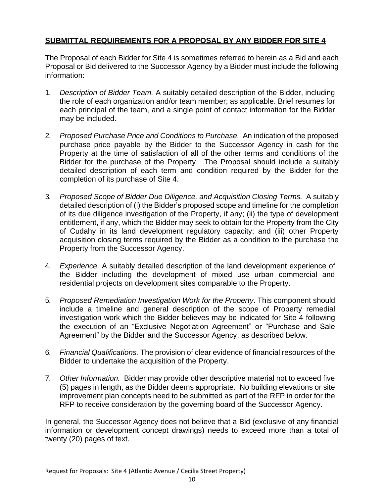# **SUBMITTAL REQUIREMENTS FOR A PROPOSAL BY ANY BIDDER FOR SITE 4**

The Proposal of each Bidder for Site 4 is sometimes referred to herein as a Bid and each Proposal or Bid delivered to the Successor Agency by a Bidder must include the following information:

- 1. *Description of Bidder Team.* A suitably detailed description of the Bidder, including the role of each organization and/or team member; as applicable. Brief resumes for each principal of the team, and a single point of contact information for the Bidder may be included.
- 2. *Proposed Purchase Price and Conditions to Purchase.* An indication of the proposed purchase price payable by the Bidder to the Successor Agency in cash for the Property at the time of satisfaction of all of the other terms and conditions of the Bidder for the purchase of the Property. The Proposal should include a suitably detailed description of each term and condition required by the Bidder for the completion of its purchase of Site 4.
- 3. *Proposed Scope of Bidder Due Diligence, and Acquisition Closing Terms.* A suitably detailed description of (i) the Bidder's proposed scope and timeline for the completion of its due diligence investigation of the Property, if any; (ii) the type of development entitlement, if any, which the Bidder may seek to obtain for the Property from the City of Cudahy in its land development regulatory capacity; and (iii) other Property acquisition closing terms required by the Bidder as a condition to the purchase the Property from the Successor Agency.
- 4. *Experience.* A suitably detailed description of the land development experience of the Bidder including the development of mixed use urban commercial and residential projects on development sites comparable to the Property.
- 5. *Proposed Remediation Investigation Work for the Property*. This component should include a timeline and general description of the scope of Property remedial investigation work which the Bidder believes may be indicated for Site 4 following the execution of an "Exclusive Negotiation Agreement" or "Purchase and Sale Agreement" by the Bidder and the Successor Agency, as described below.
- 6. *Financial Qualifications.* The provision of clear evidence of financial resources of the Bidder to undertake the acquisition of the Property.
- 7. *Other Information.* Bidder may provide other descriptive material not to exceed five (5) pages in length, as the Bidder deems appropriate. No building elevations or site improvement plan concepts need to be submitted as part of the RFP in order for the RFP to receive consideration by the governing board of the Successor Agency.

In general, the Successor Agency does not believe that a Bid (exclusive of any financial information or development concept drawings) needs to exceed more than a total of twenty (20) pages of text.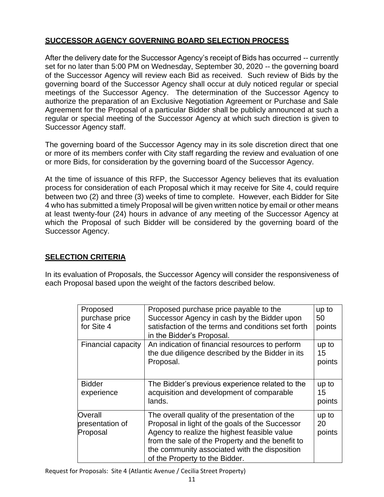# **SUCCESSOR AGENCY GOVERNING BOARD SELECTION PROCESS**

After the delivery date for the Successor Agency's receipt of Bids has occurred -- currently set for no later than 5:00 PM on Wednesday, September 30, 2020 -- the governing board of the Successor Agency will review each Bid as received. Such review of Bids by the governing board of the Successor Agency shall occur at duly noticed regular or special meetings of the Successor Agency. The determination of the Successor Agency to authorize the preparation of an Exclusive Negotiation Agreement or Purchase and Sale Agreement for the Proposal of a particular Bidder shall be publicly announced at such a regular or special meeting of the Successor Agency at which such direction is given to Successor Agency staff.

The governing board of the Successor Agency may in its sole discretion direct that one or more of its members confer with City staff regarding the review and evaluation of one or more Bids, for consideration by the governing board of the Successor Agency.

At the time of issuance of this RFP, the Successor Agency believes that its evaluation process for consideration of each Proposal which it may receive for Site 4, could require between two (2) and three (3) weeks of time to complete. However, each Bidder for Site 4 who has submitted a timely Proposal will be given written notice by email or other means at least twenty-four (24) hours in advance of any meeting of the Successor Agency at which the Proposal of such Bidder will be considered by the governing board of the Successor Agency.

# **SELECTION CRITERIA**

In its evaluation of Proposals, the Successor Agency will consider the responsiveness of each Proposal based upon the weight of the factors described below.

| Proposed<br>purchase price<br>for Site 4 | Proposed purchase price payable to the<br>Successor Agency in cash by the Bidder upon<br>satisfaction of the terms and conditions set forth<br>in the Bidder's Proposal.                                                                                                                 | up to<br>50<br>points |
|------------------------------------------|------------------------------------------------------------------------------------------------------------------------------------------------------------------------------------------------------------------------------------------------------------------------------------------|-----------------------|
| Financial capacity                       | An indication of financial resources to perform<br>the due diligence described by the Bidder in its<br>Proposal.                                                                                                                                                                         | up to<br>15<br>points |
| <b>Bidder</b><br>experience              | The Bidder's previous experience related to the<br>acquisition and development of comparable<br>lands.                                                                                                                                                                                   | up to<br>15<br>points |
| Overall<br>presentation of<br>Proposal   | The overall quality of the presentation of the<br>Proposal in light of the goals of the Successor<br>Agency to realize the highest feasible value<br>from the sale of the Property and the benefit to<br>the community associated with the disposition<br>of the Property to the Bidder. | up to<br>20<br>points |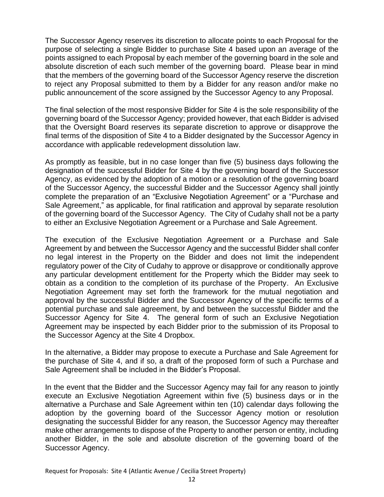The Successor Agency reserves its discretion to allocate points to each Proposal for the purpose of selecting a single Bidder to purchase Site 4 based upon an average of the points assigned to each Proposal by each member of the governing board in the sole and absolute discretion of each such member of the governing board. Please bear in mind that the members of the governing board of the Successor Agency reserve the discretion to reject any Proposal submitted to them by a Bidder for any reason and/or make no public announcement of the score assigned by the Successor Agency to any Proposal.

The final selection of the most responsive Bidder for Site 4 is the sole responsibility of the governing board of the Successor Agency; provided however, that each Bidder is advised that the Oversight Board reserves its separate discretion to approve or disapprove the final terms of the disposition of Site 4 to a Bidder designated by the Successor Agency in accordance with applicable redevelopment dissolution law.

As promptly as feasible, but in no case longer than five (5) business days following the designation of the successful Bidder for Site 4 by the governing board of the Successor Agency, as evidenced by the adoption of a motion or a resolution of the governing board of the Successor Agency, the successful Bidder and the Successor Agency shall jointly complete the preparation of an "Exclusive Negotiation Agreement" or a "Purchase and Sale Agreement," as applicable, for final ratification and approval by separate resolution of the governing board of the Successor Agency. The City of Cudahy shall not be a party to either an Exclusive Negotiation Agreement or a Purchase and Sale Agreement.

The execution of the Exclusive Negotiation Agreement or a Purchase and Sale Agreement by and between the Successor Agency and the successful Bidder shall confer no legal interest in the Property on the Bidder and does not limit the independent regulatory power of the City of Cudahy to approve or disapprove or conditionally approve any particular development entitlement for the Property which the Bidder may seek to obtain as a condition to the completion of its purchase of the Property. An Exclusive Negotiation Agreement may set forth the framework for the mutual negotiation and approval by the successful Bidder and the Successor Agency of the specific terms of a potential purchase and sale agreement, by and between the successful Bidder and the Successor Agency for Site 4. The general form of such an Exclusive Negotiation Agreement may be inspected by each Bidder prior to the submission of its Proposal to the Successor Agency at the Site 4 Dropbox.

In the alternative, a Bidder may propose to execute a Purchase and Sale Agreement for the purchase of Site 4, and if so, a draft of the proposed form of such a Purchase and Sale Agreement shall be included in the Bidder's Proposal.

In the event that the Bidder and the Successor Agency may fail for any reason to jointly execute an Exclusive Negotiation Agreement within five (5) business days or in the alternative a Purchase and Sale Agreement within ten (10) calendar days following the adoption by the governing board of the Successor Agency motion or resolution designating the successful Bidder for any reason, the Successor Agency may thereafter make other arrangements to dispose of the Property to another person or entity, including another Bidder, in the sole and absolute discretion of the governing board of the Successor Agency.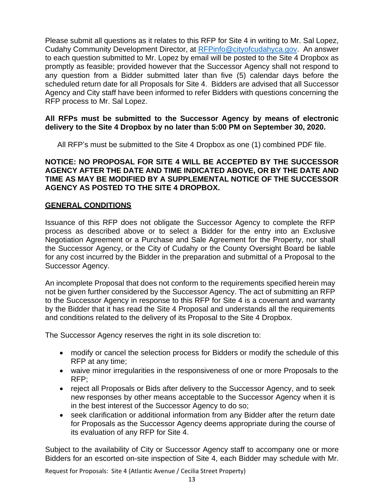Please submit all questions as it relates to this RFP for Site 4 in writing to Mr. Sal Lopez, Cudahy Community Development Director, at [RFPinfo@cityofcudahyca.gov.](mailto:RFPinfo@cityofcudahyca.gov) An answer to each question submitted to Mr. Lopez by email will be posted to the Site 4 Dropbox as promptly as feasible; provided however that the Successor Agency shall not respond to any question from a Bidder submitted later than five (5) calendar days before the scheduled return date for all Proposals for Site 4. Bidders are advised that all Successor Agency and City staff have been informed to refer Bidders with questions concerning the RFP process to Mr. Sal Lopez.

#### **All RFPs must be submitted to the Successor Agency by means of electronic delivery to the Site 4 Dropbox by no later than 5:00 PM on September 30, 2020.**

All RFP's must be submitted to the Site 4 Dropbox as one (1) combined PDF file.

### **NOTICE: NO PROPOSAL FOR SITE 4 WILL BE ACCEPTED BY THE SUCCESSOR AGENCY AFTER THE DATE AND TIME INDICATED ABOVE, OR BY THE DATE AND TIME AS MAY BE MODIFIED BY A SUPPLEMENTAL NOTICE OF THE SUCCESSOR AGENCY AS POSTED TO THE SITE 4 DROPBOX.**

### **GENERAL CONDITIONS**

Issuance of this RFP does not obligate the Successor Agency to complete the RFP process as described above or to select a Bidder for the entry into an Exclusive Negotiation Agreement or a Purchase and Sale Agreement for the Property, nor shall the Successor Agency, or the City of Cudahy or the County Oversight Board be liable for any cost incurred by the Bidder in the preparation and submittal of a Proposal to the Successor Agency.

An incomplete Proposal that does not conform to the requirements specified herein may not be given further considered by the Successor Agency. The act of submitting an RFP to the Successor Agency in response to this RFP for Site 4 is a covenant and warranty by the Bidder that it has read the Site 4 Proposal and understands all the requirements and conditions related to the delivery of its Proposal to the Site 4 Dropbox.

The Successor Agency reserves the right in its sole discretion to:

- modify or cancel the selection process for Bidders or modify the schedule of this RFP at any time;
- waive minor irregularities in the responsiveness of one or more Proposals to the RFP;
- reject all Proposals or Bids after delivery to the Successor Agency, and to seek new responses by other means acceptable to the Successor Agency when it is in the best interest of the Successor Agency to do so;
- seek clarification or additional information from any Bidder after the return date for Proposals as the Successor Agency deems appropriate during the course of its evaluation of any RFP for Site 4.

Subject to the availability of City or Successor Agency staff to accompany one or more Bidders for an escorted on-site inspection of Site 4, each Bidder may schedule with Mr.